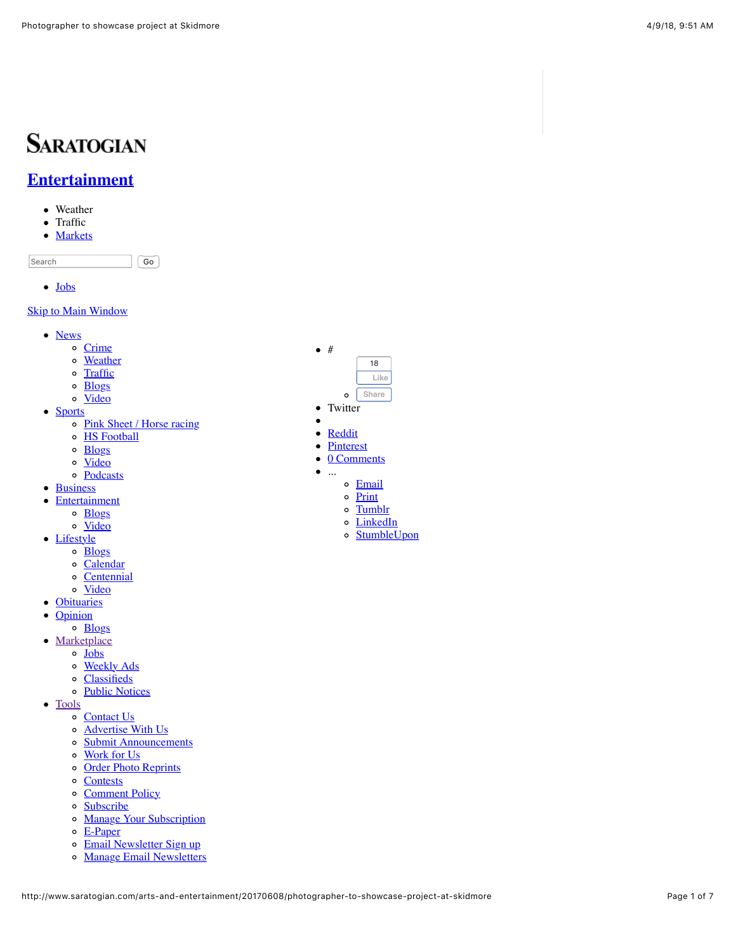# **SARATOGIAN**

## **[Entertainment](http://www.saratogian.com/entertainment)**

- Weather
- Traffic  $\bullet$
- [Markets](http://www.saratogian.com/business)  $\bullet$

Search Go

• [Jobs](http://www.saratogian.com/jobs)

#### **[Skip to Main Window](http://www.saratogian.com/arts-and-entertainment/20170608/photographer-to-showcase-project-at-skidmore#main-content)**

- [News](http://www.saratogian.com/news)
	- o [Crime](http://www.saratogian.com/crime)
	- o [Weather](http://www.saratogian.com/weather)
	- o [Traffic](http://www.saratogian.com/traffic)
	- o [Blogs](http://www.saratogian.com/news-blogs)
	- [Video](http://www.saratogian.com/news-video)
- [Sports](http://www.saratogian.com/sports)
	- o [Pink Sheet / Horse racing](http://www.saratogian.com/pinksheet)
		- o [HS Football](http://www.saratogian.com/hs-football)
		- $\circ$   $\frac{\text{Blogs}}{\text{}}$  $\frac{\text{Blogs}}{\text{}}$  $\frac{\text{Blogs}}{\text{}}$
		- o [Video](http://www.saratogian.com/sports-video)
	- [Podcasts](http://www.saratogian.com/podcasts)
- [Business](http://www.saratogian.com/business)
- [Entertainment](http://www.saratogian.com/entertainment)
	- o **[Blogs](http://www.saratogian.com/entertainment-blogs)**
	- o [Video](http://www.saratogian.com/entertainment-video)
- [Lifestyle](http://www.saratogian.com/lifestyle)
	- [Blogs](http://www.saratogian.com/lifestyle-blogs)
	- [Calendar](http://www.saratogian.com/calendar)
	- [Centennial](http://www.saratogian.com/centennial)
	- o [Video](http://www.saratogian.com/lifestyle-video)
- [Obituaries](http://www.saratogian.com/obituaries)
- $\bullet$ **[Opinion](http://www.saratogian.com/opinion)**
- o [Blogs](http://www.saratogian.com/opinion-blogs)
- [Marketplace](http://www.saratogian.com/arts-and-entertainment/20170608/photographer-to-showcase-project-at-skidmore)
	- [Jobs](http://www.saratogian.com/jobs)
	- o [Weekly Ads](http://www.saratogian.com/weekly-ads)
	- [Classifieds](http://www.saratogian.com/classifieds)
	- o [Public Notices](http://www.saratogian.com/public-notices)
- [Tools](http://www.saratogian.com/arts-and-entertainment/20170608/photographer-to-showcase-project-at-skidmore)
	- o [Contact Us](http://www.saratogian.com/contact)
	- [Advertise With Us](http://www.saratogian.com/advertise)
	- o [Submit Announcements](http://www.saratogian.com/submit)
	- [Work for Us](http://www.saratogian.com/careers)
	- o [Order Photo Reprints](http://www.saratogian.com/photo-reprints)
	- o [Contests](http://www.saratogian.com/contest)
	- o [Comment Policy](http://www.saratogian.com/commentpolicy)
	- [Subscribe](http://www.saratogian.com/subscribe)
	- **[Manage Your Subscription](http://www.saratogian.com/manage-subscription)**
	- $\circ$  [E-Paper](http://www.saratogian.com/epaper)
	- o [Email Newsletter Sign up](http://www.saratogian.com/email_signup)
	- o [Manage Email Newsletters](http://www.saratogian.com/email_preferences)



- Twitter  $\bullet$
- 

...

- [Reddit](javascript:void(open()
- [Pinterest](javascript:javascript:void((function()%7Bvar%20e=document.createElement()  $\bullet$
- 0 Comments
	-
	- o [Email](http://www.addthis.com/bookmark.php)
	- o [Print](http://www.saratogian.com/arts-and-entertainment/20170608/photographer-to-showcase-project-at-skidmore&template=printart)
	- o [Tumblr](javascript:void(open()
	- [LinkedIn](javascript:void(open()
	- o [StumbleUpon](javascript:void(open()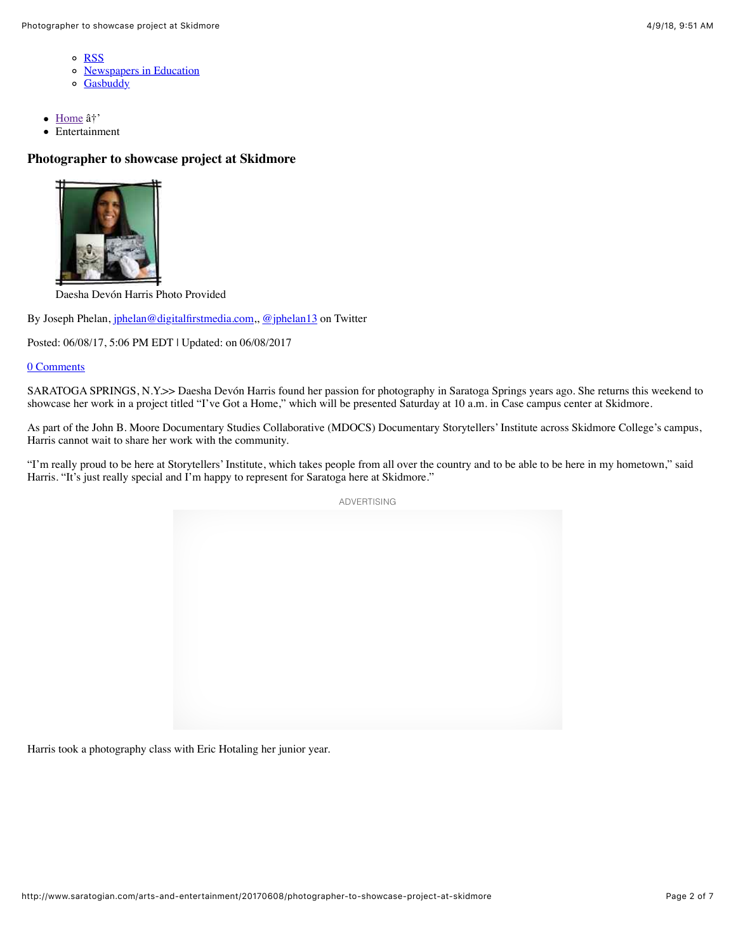- o [RSS](http://www.saratogian.com/rss)
- o [Newspapers in Education](http://www.saratogian.com/nie)
- o [Gasbuddy](http://www.saratogian.com/gasbuddy)
- [Home](http://www.saratogian.com/)  $\hat{a}^{\dagger}$  $\bullet$
- Entertainment

### **Photographer to showcase project at Skidmore**



Daesha Devón Harris Photo Provided

By Joseph Phelan, [jphelan@digitalfirstmedia.com](mailto:jphelan@digitalfirstmedia.com),, [@jphelan13](http://twitter.com/jphelan13) on Twitter

Posted: 06/08/17, 5:06 PM EDT | Updated: on 06/08/2017

#### 0 Comments

SARATOGA SPRINGS, N.Y.>> Daesha Devón Harris found her passion for photography in Saratoga Springs years ago. She returns this weekend to showcase her work in a project titled "I've Got a Home," which will be presented Saturday at 10 a.m. in Case campus center at Skidmore.

As part of the John B. Moore Documentary Studies Collaborative (MDOCS) Documentary Storytellers' Institute across Skidmore College's campus, Harris cannot wait to share her work with the community.

"I'm really proud to be here at Storytellers' Institute, which takes people from all over the country and to be able to be here in my hometown," said Harris. "It's just really special and I'm happy to represent for Saratoga here at Skidmore."



Harris took a photography class with Eric Hotaling her junior year.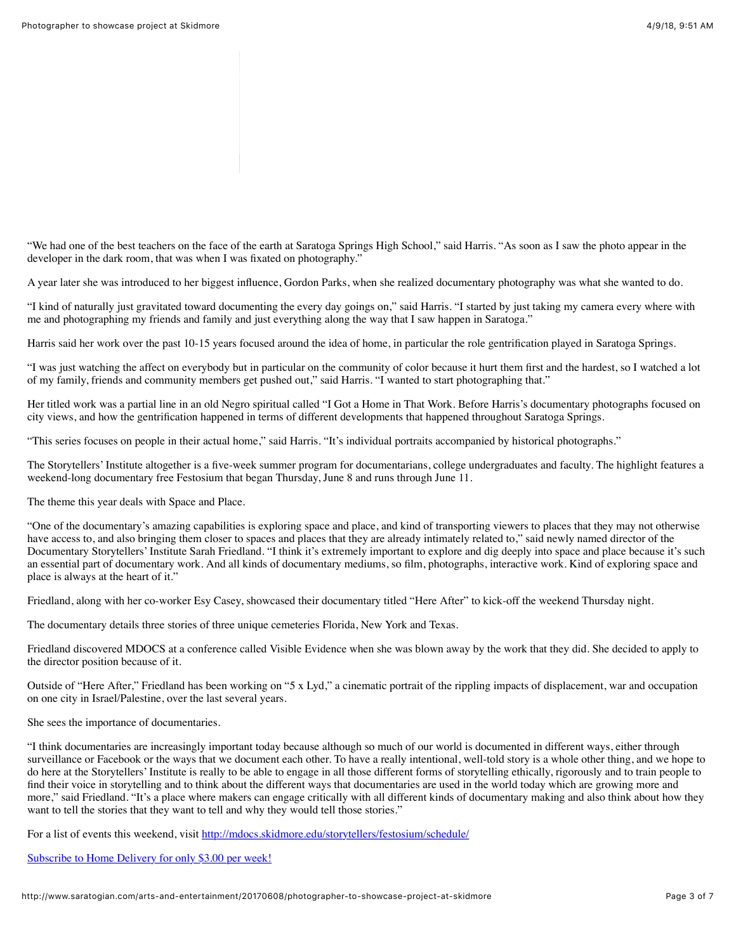"We had one of the best teachers on the face of the earth at Saratoga Springs High School," said Harris. "As soon as I saw the photo appear in the developer in the dark room, that was when I was fixated on photography."

A year later she was introduced to her biggest influence, Gordon Parks, when she realized documentary photography was what she wanted to do.

"I kind of naturally just gravitated toward documenting the every day goings on," said Harris. "I started by just taking my camera every where with me and photographing my friends and family and just everything along the way that I saw happen in Saratoga."

Harris said her work over the past 10-15 years focused around the idea of home, in particular the role gentrification played in Saratoga Springs.

"I was just watching the affect on everybody but in particular on the community of color because it hurt them first and the hardest, so I watched a lot of my family, friends and community members get pushed out," said Harris. "I wanted to start photographing that."

Her titled work was a partial line in an old Negro spiritual called "I Got a Home in That Work. Before Harris's documentary photographs focused on city views, and how the gentrification happened in terms of different developments that happened throughout Saratoga Springs.

"This series focuses on people in their actual home," said Harris. "It's individual portraits accompanied by historical photographs."

The Storytellers' Institute altogether is a five-week summer program for documentarians, college undergraduates and faculty. The highlight features a weekend-long documentary free Festosium that began Thursday, June 8 and runs through June 11.

The theme this year deals with Space and Place.

"One of the documentary's amazing capabilities is exploring space and place, and kind of transporting viewers to places that they may not otherwise have access to, and also bringing them closer to spaces and places that they are already intimately related to," said newly named director of the Documentary Storytellers' Institute Sarah Friedland. "I think it's extremely important to explore and dig deeply into space and place because it's such an essential part of documentary work. And all kinds of documentary mediums, so film, photographs, interactive work. Kind of exploring space and place is always at the heart of it."

Friedland, along with her co-worker Esy Casey, showcased their documentary titled "Here After" to kick-off the weekend Thursday night.

The documentary details three stories of three unique cemeteries Florida, New York and Texas.

Friedland discovered MDOCS at a conference called Visible Evidence when she was blown away by the work that they did. She decided to apply to the director position because of it.

Outside of "Here After," Friedland has been working on "5 x Lyd," a cinematic portrait of the rippling impacts of displacement, war and occupation on one city in Israel/Palestine, over the last several years.

She sees the importance of documentaries.

"I think documentaries are increasingly important today because although so much of our world is documented in different ways, either through surveillance or Facebook or the ways that we document each other. To have a really intentional, well-told story is a whole other thing, and we hope to do here at the Storytellers' Institute is really to be able to engage in all those different forms of storytelling ethically, rigorously and to train people to find their voice in storytelling and to think about the different ways that documentaries are used in the world today which are growing more and more," said Friedland. "It's a place where makers can engage critically with all different kinds of documentary making and also think about how they want to tell the stories that they want to tell and why they would tell those stories."

For a list of events this weekend, visit <http://mdocs.skidmore.edu/storytellers/festosium/schedule/>

[Subscribe to Home Delivery for only \\$3.00 per week!](http://www.saratogian.com/allaccess)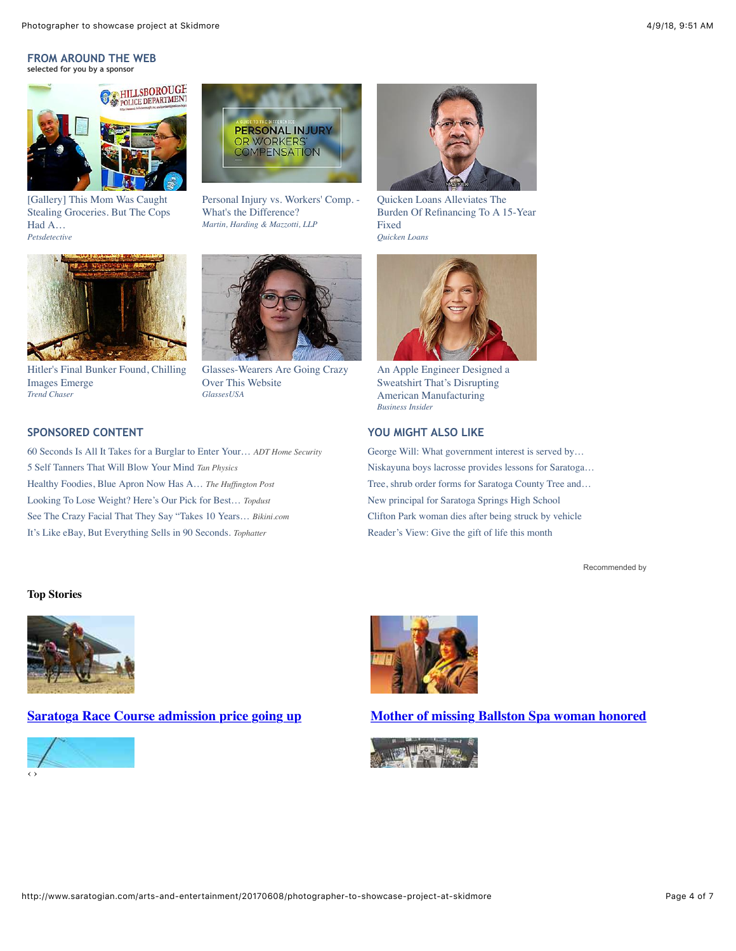#### **FROM AROUND THE WEB selected for you by a sponsor**



[Gallery] This Mom Was Caught [Stealing Groceries. But The Cops](http://petsdetective.com/a/lifestyle/mother-arrested-for-stealing-groceries-police-saw-her-kids-hadnt-eaten/?utm_source=Outbrain&utm_medium=CPC&utm_content=$origsrcname$&utm_campaign=62959_Pets-Detective_This-Mother-Was-Arrested-For-S_US_DESKTOP_SL&utm_term=1054276&obOrigUrl=true) Had A… *Petsdetective*



[Personal Injury vs. Workers' Comp. -](https://www.1800law1010.com/personal-injury-or-workers-compensation-guide?utm_campaign=PI-or-WC-Guide&utm_medium=CPC&utm_source=OutBrain&utm_content=PI-or-WC-Guide-1&obOrigUrl=true) What's the Difference? *Martin, Harding & Mazzotti, LLP*



Quicken Loans Alleviates The [Burden Of Refinancing To A 15-Year](https://ad.doubleclick.net/ddm/trackclk/N108408.1984505OUTBRAIN/B10718329.143023514;dc_trk_aid=315123069;dc_trk_cid=77345761;dc_lat=;dc_rdid=;tag_for_child_directed_treatment=?https://mortgage.quickenloans.com/lending/home-refinance/?providerId=14278391&pkey1=&pkey2=&pkey3=&sourceid=lmb-48772-104990&moid=158627&obOrigUrl=true) Fixed *Quicken Loans*



[Hitler's Final Bunker Found, Chilling](http://www.trend-chaser.com/history/this-guy-found-hitlers-secret-french-bunker/?utm_campaign=hsf-d-us-r-0-d6-180220-tc-ob-a4-a1&utm_term=stairs_hsf.jpg&utm_source=ob&utm_medium=$section_id$-ob&utm_content=005a4b8d4d693326a976b59a63a4721198&obOrigUrl=true) Images Emerge *Trend Chaser*

[5 Self Tanners That Will Blow Your Mind](http://tanphysics.com/info/tan.php?utm_source=USA&utm_medium=OUTB&utm_campaign=GRP1-MAY18&utm_content=H248-STK020&utm_term=1141746&keyword=OUTB-MAY18-GRP1-H248-STK020&obOrigUrl=true) *Tan Physics*

[Healthy Foodies, Blue Apron Now Has A…](https://www.huffingtonpost.com/entry/blue-apron-now-has-a-mediterranean-diet-meal-plan-kit_us_5aaaaf57e4b073bd8292ef65?obOrigUrl=true) *The Huffington Post* [Looking To Lose Weight? Here's Our Pick for Best…](https://i.geistm.com/l/Topdust_Review?bcid=58f0dc1aba36b33167ce20bb&hcid=585826f42c20d43ef221b25dutm_campaign=OB_D_Review_TopdustLALPUR&utm_source=geistm&obOrigUrl=true) *Topdust* [See The Crazy Facial That They Say "Takes 10 Years…](https://www.bikini.com/style/hanacure-mask-review-magical-skincare-cure-all?obOrigUrl=true) *Bikini.com* [It's Like eBay, But Everything Sells in 90 Seconds.](https://tophatter.com/?categories=electronics&source=outbrain&campaign=outbrain&ad_group=Desktop_Electronics_Category&ad_content=$%7Bad_id$&ad_widget=$section_name$&source=outbrain&campaign=outbrain&ad_group=Desktop_Electronics_Category&ad_content=0064a907c000708a4e5eb14ddab34d6ea6&ad_widget=$section_name$&obOrigUrl=true) *Tophatter*



[Glasses-Wearers Are Going Crazy](http://glassesusa.7eer.net/c/414881/52849/1546?u=https%3A%2F%2Fwww.glassesusa.com%2Fblog%2F7-reasons-to-buy-glasses-online%3Faffid%3Dob-lp223&p.utm_source=outbrain&p.utm_medium=synd&p.utm_content=00e091447d75d48aedd0eb0c3bb8fa97c2&p.utm_term=$publisher_name$_$section_name$&subid1=Top7-Ron-v3-1809_$source_id$_00e091447d75d48aedd0eb0c3bb8fa97c2&p.utm_campaign=Top7-Ron-v3-1809&subid2=$ob_click_id$&obOrigUrl=true) Over This Website *GlassesUSA*



[An Apple Engineer Designed a](http://www.businessinsider.com/this-hoodie-is-so-insanely-popular-you-have-to-wait-months-to-get-it-2013-12?obOrigUrl=true) Sweatshirt That's Disrupting American Manufacturing *Business Insider*

#### **SPONSORED CONTENT YOU MIGHT ALSO LIKE**

[George Will: What government interest is served by…](http://www.saratogian.com/opinion/20180408/george-will-what-government-interest-is-served-by-disenfranchising-felons?obOrigUrl=true) [Niskayuna boys lacrosse provides lessons for Saratoga…](http://www.saratogian.com/article/ST/20180405/SPORTS/180409871?obOrigUrl=true) [Tree, shrub order forms for Saratoga County Tree and…](http://www.saratogian.com/general-news/20180326/tree-shrub-order-forms-for-saratoga-county-tree-and-shrub-program-available?obOrigUrl=true) [New principal for Saratoga Springs High School](http://www.saratogian.com/general-news/20180329/new-principal-for-saratoga-springs-high-school?obOrigUrl=true) [Clifton Park woman dies after being struck by vehicle](http://www.saratogian.com/general-news/20180328/clifton-park-woman-dies-after-being-struck-by-vehicle?obOrigUrl=true) [Reader's View: Give the gift of life this month](http://www.saratogian.com/opinion/20180408/readers-view-give-the-gift-of-life-this-month?obOrigUrl=true)

[Recommended by](http://www.outbrain.com/what-is/default/en)

#### **Top Stories**



[60 Seconds Is All It Takes for a Burglar to Enter Your…](https://ad.doubleclick.net/ddm/trackclk/N1068.186294.OUTBRAININC/B20572031.213706481;dc_trk_aid=412952909;dc_trk_cid=97516195;dc_lat=;dc_rdid=;tag_for_child_directed_treatment=?obOrigUrl=true) *ADT Home Security*





#### **[Saratoga Race Course admission price going up](http://www.saratogian.com/general-news/20180406/saratoga-race-course-admission-price-going-up?source=topstoriesrot) [Mother of missing Ballston Spa woman honored](http://www.saratogian.com/general-news/20180407/mother-of-missing-ballston-spa-woman-honored?source=topstoriesrot)**

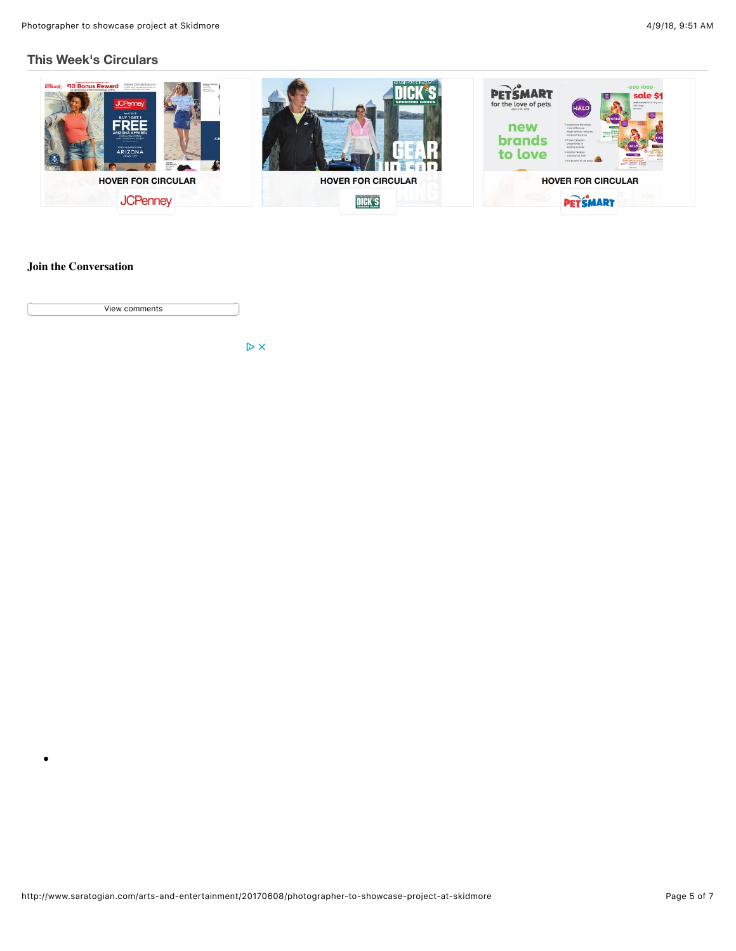#### **[This Week's Circulars](http://circulars.saratogian.com/?p=saratogian&chrome=nohead&postal_code=12866&locale=en&utm_source=fm&utm_medium=fm_5350&utm_term=title&utm_campaign=wishabi_1_0)**



#### **Join the Conversation**

 $\bullet$ 

View comments

 $\triangleright$  X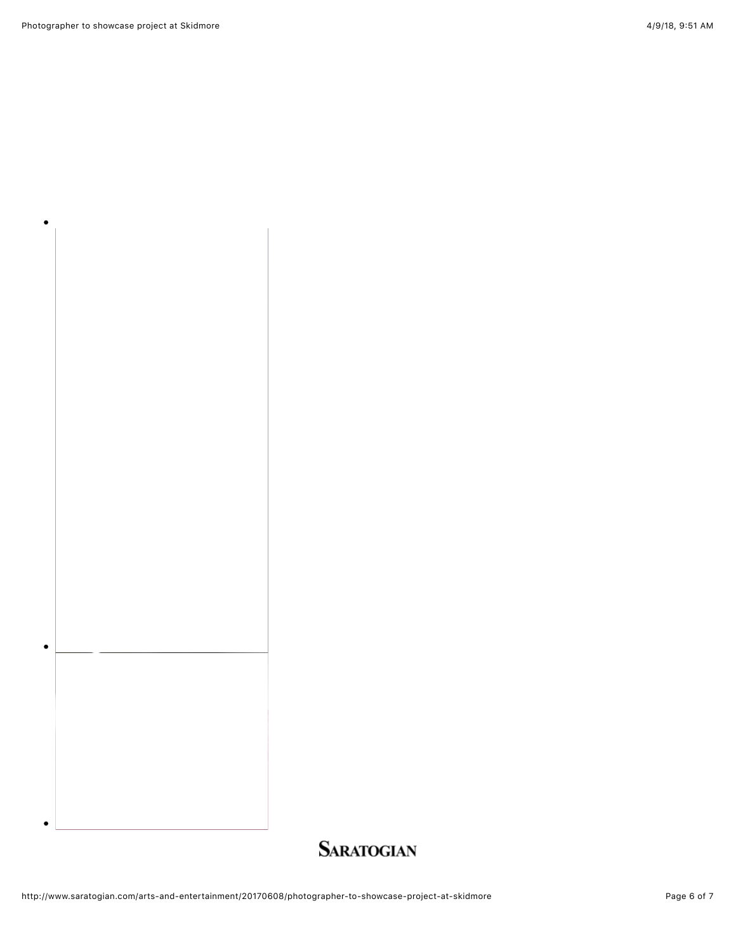Photographer to showcase project at Skidmore 6 AM and the state of the 4/9/18, 9:51 AM and the 4/9/18, 9:51 AM

 $\bullet$ 

 $\bullet$ 

 $\bullet$ 

## **SARATOGIAN**